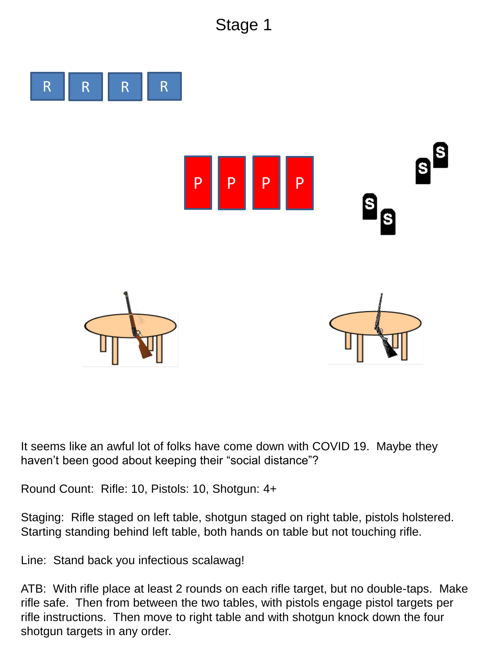## Stage 1



It seems like an awful lot of folks have come down with COVID 19. Maybe they haven't been good about keeping their "social distance"?

Round Count: Rifle: 10, Pistols: 10, Shotgun: 4+

Staging: Rifle staged on left table, shotgun staged on right table, pistols holstered. Starting standing behind left table, both hands on table but not touching rifle.

Line: Stand back you infectious scalawag!

ATB: With rifle place at least 2 rounds on each rifle target, but no double-taps. Make rifle safe. Then from between the two tables, with pistols engage pistol targets per rifle instructions. Then move to right table and with shotgun knock down the four shotgun targets in any order.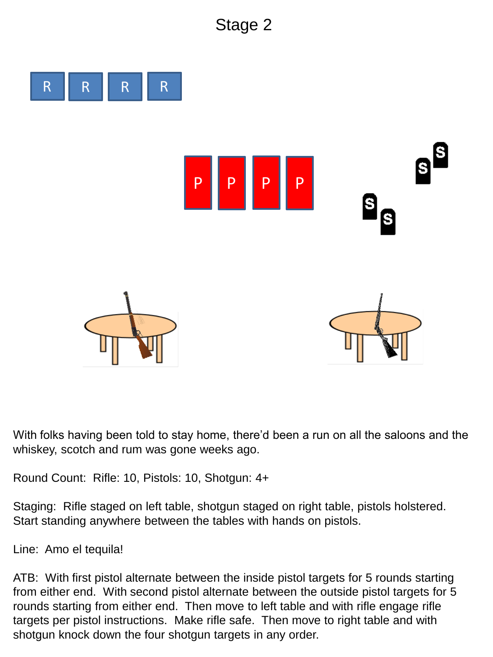## Stage 2



With folks having been told to stay home, there'd been a run on all the saloons and the whiskey, scotch and rum was gone weeks ago.

Round Count: Rifle: 10, Pistols: 10, Shotgun: 4+

Staging: Rifle staged on left table, shotgun staged on right table, pistols holstered. Start standing anywhere between the tables with hands on pistols.

Line: Amo el tequila!

ATB: With first pistol alternate between the inside pistol targets for 5 rounds starting from either end. With second pistol alternate between the outside pistol targets for 5 rounds starting from either end. Then move to left table and with rifle engage rifle targets per pistol instructions. Make rifle safe. Then move to right table and with shotgun knock down the four shotgun targets in any order.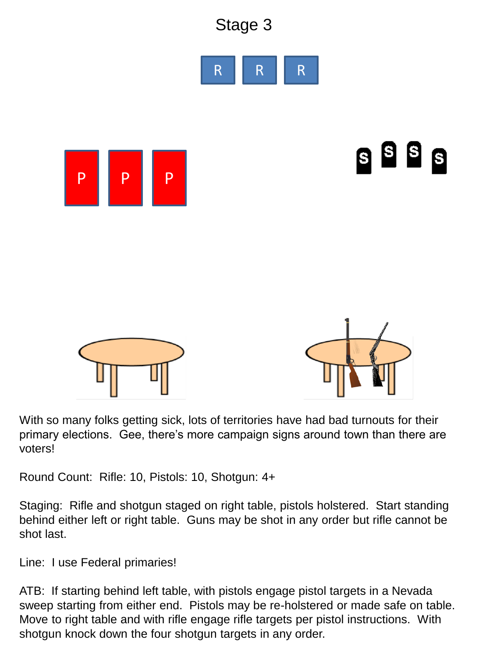

With so many folks getting sick, lots of territories have had bad turnouts for their primary elections. Gee, there's more campaign signs around town than there are voters!

Round Count: Rifle: 10, Pistols: 10, Shotgun: 4+

Staging: Rifle and shotgun staged on right table, pistols holstered. Start standing behind either left or right table. Guns may be shot in any order but rifle cannot be shot last.

Line: I use Federal primaries!

ATB: If starting behind left table, with pistols engage pistol targets in a Nevada sweep starting from either end. Pistols may be re-holstered or made safe on table. Move to right table and with rifle engage rifle targets per pistol instructions. With shotgun knock down the four shotgun targets in any order.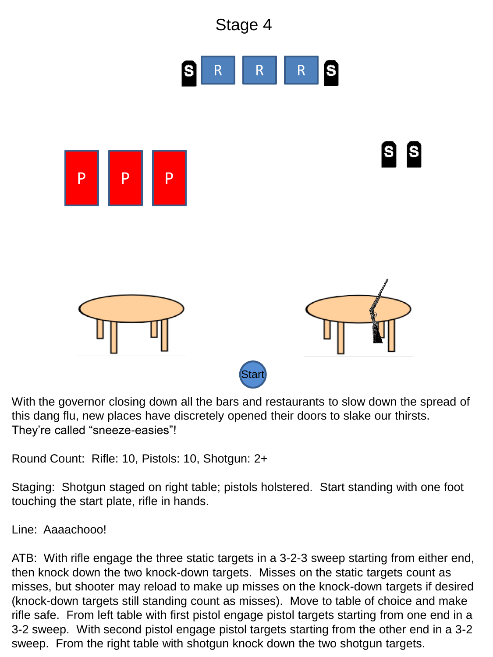

With the governor closing down all the bars and restaurants to slow down the spread of this dang flu, new places have discretely opened their doors to slake our thirsts. They're called "sneeze-easies"!

Round Count: Rifle: 10, Pistols: 10, Shotgun: 2+

Staging: Shotgun staged on right table; pistols holstered. Start standing with one foot touching the start plate, rifle in hands.

Line: Aaaachooo!

ATB: With rifle engage the three static targets in a 3-2-3 sweep starting from either end, then knock down the two knock-down targets. Misses on the static targets count as misses, but shooter may reload to make up misses on the knock-down targets if desired (knock-down targets still standing count as misses). Move to table of choice and make rifle safe. From left table with first pistol engage pistol targets starting from one end in a 3-2 sweep. With second pistol engage pistol targets starting from the other end in a 3-2 sweep. From the right table with shotgun knock down the two shotgun targets.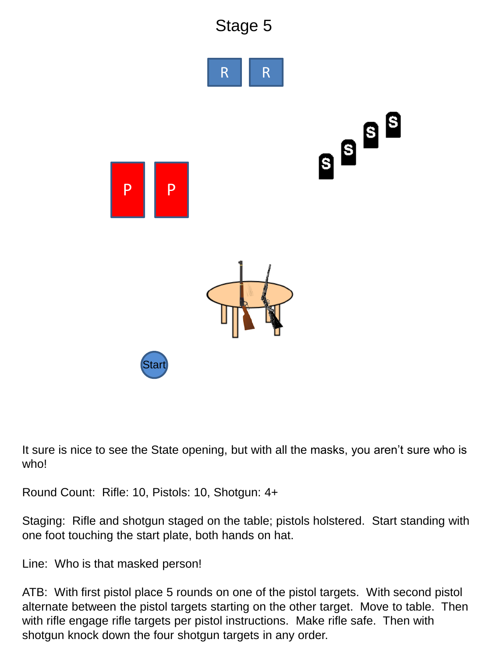

It sure is nice to see the State opening, but with all the masks, you aren't sure who is who!

Round Count: Rifle: 10, Pistols: 10, Shotgun: 4+

Staging: Rifle and shotgun staged on the table; pistols holstered. Start standing with one foot touching the start plate, both hands on hat.

Line: Who is that masked person!

ATB: With first pistol place 5 rounds on one of the pistol targets. With second pistol alternate between the pistol targets starting on the other target. Move to table. Then with rifle engage rifle targets per pistol instructions. Make rifle safe. Then with shotgun knock down the four shotgun targets in any order.